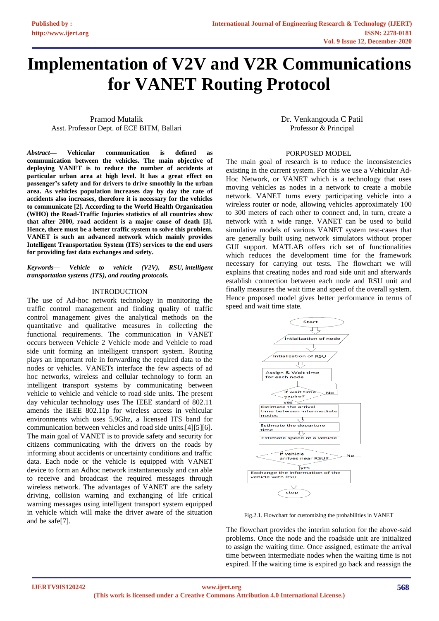# **Implementation of V2V and V2R Communications for VANET Routing Protocol**

Pramod Mutalik Asst. Professor Dept. of ECE BITM, Ballari

*Abstract***— Vehicular communication is defined as communication between the vehicles. The main objective of deploying VANET is to reduce the number of accidents at particular urban area at high level. It has a great effect on passenger's safety and for drivers to drive smoothly in the urban area. As vehicles population increases day by day the rate of accidents also increases, therefore it is necessary for the vehicles to communicate [2]. According to the World Health Organization (WHO) the Road-Traffic Injuries statistics of all countries show that after 2000, road accident is a major cause of death [3]. Hence, there must be a better traffic system to solve this problem. VANET is such an advanced network which mainly provides Intelligent Transportation System (ITS) services to the end users for providing fast data exchanges and safety.**

*Keywords— Vehicle to vehicle (V2V), RSU, [intelligent](https://www.tandfonline.com/keyword/Intelligent+Transportation+Systems+%28ITS%29)  [transportation systems \(ITS\),](https://www.tandfonline.com/keyword/Intelligent+Transportation+Systems+%28ITS%29) [and routing protocols.](https://www.tandfonline.com/keyword/Routing+Protocols)*

### INTRODUCTION

The use of Ad-hoc network technology in monitoring the traffic control management and finding quality of traffic control management gives the analytical methods on the quantitative and qualitative measures in collecting the functional requirements. The communication in VANET occurs between Vehicle 2 Vehicle mode and Vehicle to road side unit forming an intelligent transport system. Routing plays an important role in forwarding the required data to the nodes or vehicles. VANETs interface the few aspects of ad hoc networks, wireless and cellular technology to form an intelligent transport systems by communicating between vehicle to vehicle and vehicle to road side units. The present day vehicular technology uses The IEEE standard of 802.11 amends the IEEE 802.11p for wireless access in vehicular environments which uses 5.9Ghz, a licensed ITS band for communication between vehicles and road side units.[4][5][6]. The main goal of VANET is to provide safety and security for citizens communicating with the drivers on the roads by informing about accidents or uncertainty conditions and traffic data. Each node or the vehicle is equipped with VANET device to form an Adhoc network instantaneously and can able to receive and broadcast the required messages through wireless network. The advantages of VANET are the safety driving, collision warning and exchanging of life critical warning messages using intelligent transport system equipped in vehicle which will make the driver aware of the situation and be safe[7].

Dr. Venkangouda C Patil Professor & Principal

## PORPOSED MODEL

The main goal of research is to reduce the inconsistencies existing in the current system. For this we use a Vehicular Ad-Hoc Network, or VANET which is a technology that uses moving vehicles as nodes in a network to create a mobile network. VANET turns every participating vehicle into a wireless router or node, allowing vehicles approximately 100 to 300 meters of each other to connect and, in turn, create a network with a wide range. VANET can be used to build simulative models of various VANET system test-cases that are generally built using network simulators without proper GUI support. MATLAB offers rich set of functionalities which reduces the development time for the framework necessary for carrying out tests. The flowchart we will explains that creating nodes and road side unit and afterwards establish connection between each node and RSU unit and finally measures the wait time and speed of the overall system. Hence proposed model gives better performance in terms of speed and wait time state.



Fig.2.1. Flowchart for customizing the probabilities in VANET

The flowchart provides the interim solution for the above-said problems. Once the node and the roadside unit are initialized to assign the waiting time. Once assigned, estimate the arrival time between intermediate nodes when the waiting time is not expired. If the waiting time is expired go back and reassign the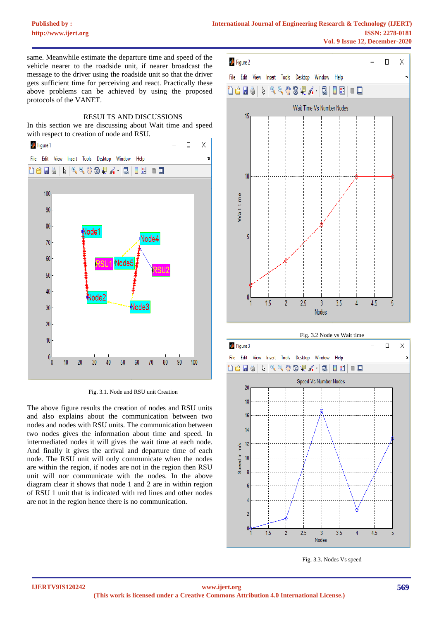# **[Published by :](www.ijert.org)**

same. Meanwhile estimate the departure time and speed of the vehicle nearer to the roadside unit, if nearer broadcast the message to the driver using the roadside unit so that the driver gets sufficient time for perceiving and react. Practically these above problems can be achieved by using the proposed protocols of the VANET.



In this section we are discussing about Wait time and speed with respect to creation of node and RSU.



Fig. 3.1. Node and RSU unit Creation

The above figure results the creation of nodes and RSU units and also explains about the communication between two nodes and nodes with RSU units. The communication between two nodes gives the information about time and speed. In intermediated nodes it will gives the wait time at each node. And finally it gives the arrival and departure time of each node. The RSU unit will only communicate when the nodes are within the region, if nodes are not in the region then RSU unit will nor communicate with the nodes. In the above diagram clear it shows that node 1 and 2 are in within region of RSU 1 unit that is indicated with red lines and other nodes are not in the region hence there is no communication.





Fig. 3.3. Nodes Vs speed